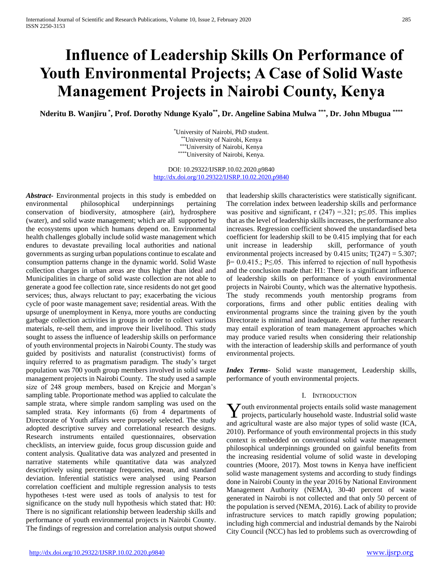# **Influence of Leadership Skills On Performance of Youth Environmental Projects; A Case of Solid Waste Management Projects in Nairobi County, Kenya**

**Nderitu B. Wanjiru \* , Prof. Dorothy Ndunge Kyalo\*\* , Dr. Angeline Sabina Mulwa \*\*\* , Dr. John Mbugua \*\*\*\***

\*University of Nairobi, PhD student. \*\*University of Nairobi, Kenya \*\*\*University of Nairobi, Kenya \*\*\*\*University of Nairobi, Kenya.

DOI: 10.29322/IJSRP.10.02.2020.p9840 <http://dx.doi.org/10.29322/IJSRP.10.02.2020.p9840>

*Abstract***-** Environmental projects in this study is embedded on environmental philosophical underpinnings pertaining conservation of biodiversity, atmosphere (air), hydrosphere (water), and solid waste management; which are all supported by the ecosystems upon which humans depend on. Environmental health challenges globally include solid waste management which endures to devastate prevailing local authorities and national governments as surging urban populations continue to escalate and consumption patterns change in the dynamic world. Solid Waste collection charges in urban areas are thus higher than ideal and Municipalities in charge of solid waste collection are not able to generate a good fee collection rate, since residents do not get good services; thus, always reluctant to pay; exacerbating the vicious cycle of poor waste management save; residential areas. With the upsurge of unemployment in Kenya, more youths are conducting garbage collection activities in groups in order to collect various materials, re-sell them, and improve their livelihood. This study sought to assess the influence of leadership skills on performance of youth environmental projects in Nairobi County. The study was guided by positivists and naturalist (constructivist) forms of inquiry referred to as pragmatism paradigm. The study's target population was 700 youth group members involved in solid waste management projects in Nairobi County. The study used a sample size of 248 group members, based on Krejcie and Morgan's sampling table. Proportionate method was applied to calculate the sample strata, where simple random sampling was used on the sampled strata. Key informants (6) from 4 departments of Directorate of Youth affairs were purposely selected. The study adopted descriptive survey and correlational research designs. Research instruments entailed questionnaires, observation checklists, an interview guide, focus group discussion guide and content analysis. Qualitative data was analyzed and presented in narrative statements while quantitative data was analyzed descriptively using percentage frequencies, mean, and standard deviation. Inferential statistics were analysed using Pearson correlation coefficient and multiple regression analysis to tests hypotheses t-test were used as tools of analysis to test for significance on the study null hypothesis which stated that: H0: There is no significant relationship between leadership skills and performance of youth environmental projects in Nairobi County. The findings of regression and correlation analysis output showed that leadership skills characteristics were statistically significant. The correlation index between leadership skills and performance was positive and significant, r  $(247) = 321$ ; p $\leq 0.05$ . This implies that as the level of leadership skills increases, the performance also increases. Regression coefficient showed the unstandardised beta coefficient for leadership skill to be 0.415 implying that for each unit increase in leadership skill, performance of youth environmental projects increased by  $0.415$  units;  $T(247) = 5.307$ ;  $β= 0.0.415$ .; P $≤$ .05. This inferred to rejection of null hypothesis and the conclusion made that: H1: There is a significant influence of leadership skills on performance of youth environmental projects in Nairobi County, which was the alternative hypothesis. The study recommends youth mentorship programs from corporations, firms and other public entities dealing with environmental programs since the training given by the youth Directorate is minimal and inadequate. Areas of further research may entail exploration of team management approaches which may produce varied results when considering their relationship with the interaction of leadership skills and performance of youth environmental projects.

*Index Terms*- Solid waste management, Leadership skills, performance of youth environmental projects.

#### I. INTRODUCTION

outh environmental projects entails solid waste management  $\boldsymbol{Y}$ outh environmental projects entails solid waste management projects, particularly household waste. Industrial solid waste and agricultural waste are also major types of solid waste (ICA, 2010). Performance of youth environmental projects in this study context is embedded on conventional solid waste management philosophical underpinnings grounded on gainful benefits from the increasing residential volume of solid waste in developing countries (Moore, 2017). Most towns in Kenya have inefficient solid waste management systems and according to study findings done in Nairobi County in the year 2016 by National Environment Management Authority (NEMA), 30-40 percent of waste generated in Nairobi is not collected and that only 50 percent of the population is served (NEMA, 2016). Lack of ability to provide infrastructure services to match rapidly growing population; including high commercial and industrial demands by the Nairobi City Council (NCC) has led to problems such as overcrowding of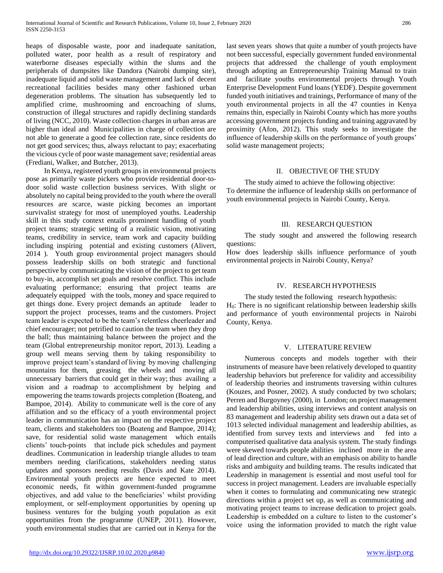heaps of disposable waste, poor and inadequate sanitation, polluted water, poor health as a result of respiratory and waterborne diseases especially within the slums and the peripherals of dumpsites like Dandora (Nairobi dumping site), inadequate liquid and solid waste management and lack of decent recreational facilities besides many other fashioned urban degeneration problems. The situation has subsequently led to amplified crime, mushrooming and encroaching of slums, construction of illegal structures and rapidly declining standards of living (NCC, 2010). Waste collection charges in urban areas are higher than ideal and Municipalities in charge of collection are not able to generate a good fee collection rate, since residents do not get good services; thus, always reluctant to pay; exacerbating the vicious cycle of poor waste management save; residential areas (Frediani, Walker, and Butcher, 2013).

 In Kenya, registered youth groups in environmental projects pose as primarily waste pickers who provide residential door-todoor solid waste collection business services. With slight or absolutely no capital being provided to the youth where the overall resources are scarce, waste picking becomes an important survivalist strategy for most of unemployed youths. Leadership skill in this study context entails prominent handling of youth project teams; strategic setting of a realistic vision, motivating teams, credibility in service, team work and capacity building including inspiring potential and existing customers (Alivert, 2014 ). Youth group environmental project managers should possess leadership skills on both strategic and functional perspective by communicating the vision of the project to get team to buy-in, accomplish set goals and resolve conflict. This include evaluating performance; ensuring that project teams are adequately equipped with the tools, money and space required to get things done. Every project demands an aptitude leader to support the project processes, teams and the customers. Project team leader is expected to be the team's relentless cheerleader and chief encourager; not petrified to caution the team when they drop the ball; thus maintaining balance between the project and the team (Global entrepreneurship monitor report, 2013). Leading a group well means serving them by taking responsibility to improve project team's standard of living by moving challenging mountains for them, greasing the wheels and moving all unnecessary barriers that could get in their way; thus availing a vision and a roadmap to accomplishment by helping and empowering the teams towards projects completion (Boateng, and Bampoe, 2014). Ability to communicate well is the core of any affiliation and so the efficacy of a youth environmental project leader in communication has an impact on the respective project team, clients and stakeholders too (Boateng and Bampoe, 2014); save, for residential solid waste management which entails clients' touch-points that include pick schedules and payment deadlines. Communication in leadership triangle alludes to team members needing clarifications, stakeholders needing status updates and sponsors needing results (Davis and Kate 2014). Environmental youth projects are hence expected to meet economic needs, fit within government-funded programme objectives, and add value to the beneficiaries' whilst providing employment, or self-employment opportunities by opening up business ventures for the bulging youth population as exit opportunities from the programme (UNEP, 2011). However, youth environmental studies that are carried out in Kenya for the last seven years shows that quite a number of youth projects have not been successful, especially government funded environmental projects that addressed the challenge of youth employment through adopting an Entrepreneurship Training Manual to train and facilitate youths environmental projects through Youth Enterprise Development Fund loans (YEDF). Despite government funded youth initiatives and trainings, Performance of many of the youth environmental projects in all the 47 counties in Kenya remains thin, especially in Nairobi County which has more youths accessing government projects funding and training aggravated by proximity (Afon, 2012). This study seeks to investigate the influence of leadership skills on the performance of youth groups' solid waste management projects;

#### II. OBJECTIVE OF THE STUDY

 The study aimed to achieve the following objective: To determine the influence of leadership skills on performance of youth environmental projects in Nairobi County, Kenya.

#### III. RESEARCH QUESTION

 The study sought and answered the following research questions:

How does leadership skills influence performance of youth environmental projects in Nairobi County, Kenya?

#### IV. RESEARCH HYPOTHESIS

 The study tested the following research hypothesis:  $H<sub>0</sub>$ : There is no significant relationship between leadership skills and performance of youth environmental projects in Nairobi County, Kenya.

#### V. LITERATURE REVIEW

 Numerous concepts and models together with their instruments of measure have been relatively developed to quantity leadership behaviors but preference for validity and accessibility of leadership theories and instruments traversing within cultures (Kouzes, and Posner, 2002). A study conducted by two scholars; Perren and Burgoyney (2000), in London; on project management and leadership abilities, using interviews and content analysis on 83 management and leadership ability sets drawn out a data set of 1013 selected individual management and leadership abilities, as identified from survey texts and interviews and fed into a computerised qualitative data analysis system. The study findings were skewed towards people abilities inclined more in the area of lead direction and culture, with an emphasis on ability to handle risks and ambiguity and building teams. The results indicated that Leadership in management is essential and most useful tool for success in project management. Leaders are invaluable especially when it comes to formulating and communicating new strategic directions within a project set up, as well as communicating and motivating project teams to increase dedication to project goals. Leadership is embedded on a culture to listen to the customer's voice using the information provided to match the right value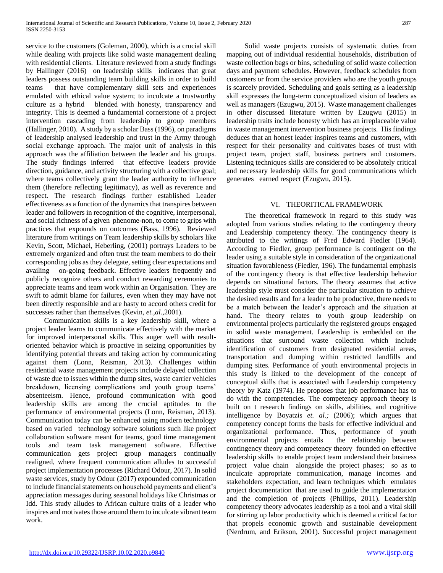service to the customers (Goleman, 2000), which is a crucial skill while dealing with projects like solid waste management dealing with residential clients. Literature reviewed from a study findings by Hallinger (2016) on leadership skills indicates that great leaders possess outstanding team building skills in order to build teams that have complementary skill sets and experiences emulated with ethical value system; to inculcate a trustworthy culture as a hybrid blended with honesty, transparency and integrity. This is deemed a fundamental cornerstone of a project intervention cascading from leadership to group members (Hallinger, 2010). A study by a scholar Bass (1996), on paradigms of leadership analysed leadership and trust in the Army through social exchange approach. The major unit of analysis in this approach was the affiliation between the leader and his groups. The study findings inferred that effective leaders provide direction, guidance, and activity structuring with a collective goal; where teams collectively grant the leader authority to influence them (therefore reflecting legitimacy), as well as reverence and respect. The research findings further established Leader effectiveness as a function of the dynamics that transpires between leader and followers in recognition of the cognitive, interpersonal, and social richness of a given phenome-non, to come to grips with practices that expounds on outcomes (Bass, 1996). Reviewed literature from writings on Team leadership skills by scholars like Kevin, Scott, Michael, Heberling, (2001) portrays Leaders to be extremely organized and often trust the team members to do their corresponding jobs as they delegate, setting clear expectations and availing on-going feedback. Effective leaders frequently and publicly recognize others and conduct rewarding ceremonies to appreciate teams and team work within an Organisation. They are swift to admit blame for failures, even when they may have not been directly responsible and are hasty to accord others credit for successes rather than themselves (Kevin, *et.,al.,*2001).

 Communication skills is a key leadership skill, where a project leader learns to communicate effectively with the market for improved interpersonal skills. This auger well with resultoriented behavior which is proactive in seizing opportunities by identifying potential threats and taking action by communicating against them (Lonn, Reisman, 2013). Challenges within residential waste management projects include delayed collection of waste due to issues within the dump sites, waste carrier vehicles breakdown, licensing complications and youth group teams' absenteeism. Hence, profound communication with good leadership skills are among the crucial aptitudes to the performance of environmental projects (Lonn, Reisman, 2013). Communication today can be enhanced using modern technology based on varied technology software solutions such like project collaboration software meant for teams, good time management tools and team task management software. Effective communication gets project group managers continually realigned, where frequent communication alludes to successful project implementation processes (Richard Odour, 2017). In solid waste services, study by Odour (2017) expounded communication to include financial statements on household payments and client's appreciation messages during seasonal holidays like Christmas or Idd. This study alludes to African culture traits of a leader who inspires and motivates those around them to inculcate vibrant team work.

 Solid waste projects consists of systematic duties from mapping out of individual residential households, distribution of waste collection bags or bins, scheduling of solid waste collection days and payment schedules. However, feedback schedules from customers or from the service providers who are the youth groups is scarcely provided. Scheduling and goals setting as a leadership skill expresses the long-term conceptualized vision of leaders as well as managers (Ezugwu, 2015). Waste management challenges in other discussed literature written by Ezugwu (2015) in leadership traits include honesty which has an irreplaceable value in waste management intervention business projects. His findings deduces that an honest leader inspires teams and customers, with respect for their personality and cultivates bases of trust with project team, project staff, business partners and customers. Listening techniques skills are considered to be absolutely critical and necessary leadership skills for good communications which generates earned respect (Ezugwu, 2015).

#### VI. THEORITICAL FRAMEWORK

 The theoretical framework in regard to this study was adopted from various studies relating to the contingency theory and Leadership competency theory. The contingency theory is attributed to the writings of Fred Edward Fiedler (1964). According to Fiedler, group performance is contingent on the leader using a suitable style in consideration of the organizational situation favorableness (Fiedler, 196). The fundamental emphasis of the contingency theory is that effective leadership behavior depends on situational factors. The theory assumes that active leadership style must consider the particular situation to achieve the desired results and for a leader to be productive, there needs to be a match between the leader's approach and the situation at hand. The theory relates to youth group leadership on environmental projects particularly the registered groups engaged in solid waste management. Leadership is embedded on the situations that surround waste collection which include identification of customers from designated residential areas, transportation and dumping within restricted landfills and dumping sites. Performance of youth environmental projects in this study is linked to the development of the concept of conceptual skills that is associated with Leadership competency theory by Katz (1974). He proposes that job performance has to do with the competencies. The competency approach theory is built on t research findings on skills, abilities, and cognitive intelligence by Boyatzis *et. al.;* (2006); which argues that competency concept forms the basis for effective individual and organizational performance. Thus, performance of youth environmental projects entails the relationship between contingency theory and competency theory founded on effective leadership skills to enable project team understand their business project value chain alongside the project phases; so as to inculcate appropriate communication, manage incomes and stakeholders expectation, and learn techniques which emulates project documentation that are used to guide the implementation and the completion of projects (Phillips, 2011). Leadership competency theory advocates leadership as a tool and a vital skill for stirring up labor productivity which is deemed a critical factor that propels economic growth and sustainable development (Nerdrum, and Erikson, 2001). Successful project management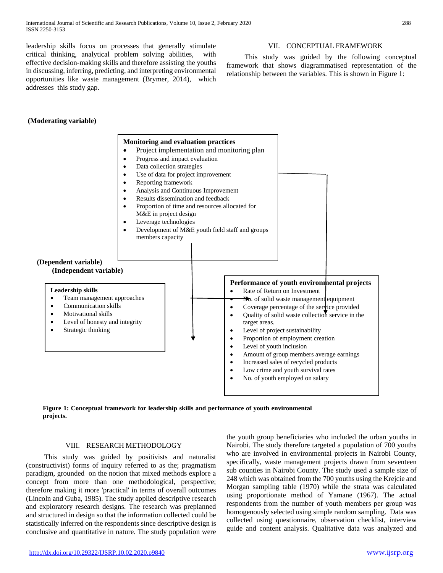leadership skills focus on processes that generally stimulate critical thinking, analytical problem solving abilities, with effective decision-making skills and therefore assisting the youths in discussing, inferring, predicting, and interpreting environmental opportunities like waste management (Brymer, 2014), which addresses this study gap.

### **(Moderating variable)**

#### **(Dependent variable) (Independent variable) Leadership skills** Team management approaches Communication skills Motivational skills Level of honesty and integrity Strategic thinking **Performance of youth environmental projects**  • Rate of Return on Investment No. of solid waste management equipment  $\bullet$  Coverage percentage of the service provided Quality of solid waste collection service in the target areas. Level of project sustainability Proportion of employment creation Level of youth inclusion Amount of group members average earnings Increased sales of recycled products • Low crime and youth survival rates No. of youth employed on salary **Monitoring and evaluation practices**  Project implementation and monitoring plan Progress and impact evaluation Data collection strategies Use of data for project improvement Reporting framework Analysis and Continuous Improvement Results dissemination and feedback Proportion of time and resources allocated for M&E in project design Leverage technologies Development of M&E youth field staff and groups members capacity

**Figure 1: Conceptual framework for leadership skills and performance of youth environmental projects.**

# VIII. RESEARCH METHODOLOGY

 This study was guided by positivists and naturalist (constructivist) forms of inquiry referred to as the; pragmatism paradigm, grounded on the notion that mixed methods explore a concept from more than one methodological, perspective; therefore making it more 'practical' in terms of overall outcomes (Lincoln and Guba, 1985). The study applied descriptive research and exploratory research designs. The research was preplanned and structured in design so that the information collected could be statistically inferred on the respondents since descriptive design is conclusive and quantitative in nature. The study population were

the youth group beneficiaries who included the urban youths in Nairobi. The study therefore targeted a population of 700 youths who are involved in environmental projects in Nairobi County, specifically, waste management projects drawn from seventeen sub counties in Nairobi County. The study used a sample size of 248 which was obtained from the 700 youths using the Krejcie and Morgan sampling table (1970) while the strata was calculated using proportionate method of Yamane (1967). The actual respondents from the number of youth members per group was homogenously selected using simple random sampling. Data was collected using questionnaire, observation checklist, interview guide and content analysis. Qualitative data was analyzed and

# VII. CONCEPTUAL FRAMEWORK

 This study was guided by the following conceptual framework that shows diagrammatised representation of the relationship between the variables. This is shown in Figure 1: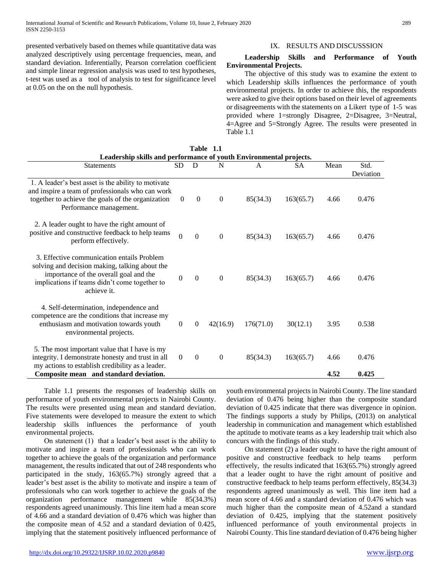presented verbatively based on themes while quantitative data was analyzed descriptively using percentage frequencies, mean, and standard deviation. Inferentially, Pearson correlation coefficient and simple linear regression analysis was used to test hypotheses, t-test was used as a tool of analysis to test for significance level at 0.05 on the on the null hypothesis.

# IX. RESULTS AND DISCUSSSION

#### **Leadership Skills and Performance of Youth Environmental Projects.**

 The objective of this study was to examine the extent to which Leadership skills influences the performance of youth environmental projects. In order to achieve this, the respondents were asked to give their options based on their level of agreements or disagreements with the statements on a Likert type of 1-5 was provided where 1=strongly Disagree, 2=Disagree, 3=Neutral, 4=Agree and 5=Strongly Agree. The results were presented in Table 1.1

| Leadership skills and performance of youth Environmental projects.                                                                                                                                     |                |                  |                  |              |           |              |                   |
|--------------------------------------------------------------------------------------------------------------------------------------------------------------------------------------------------------|----------------|------------------|------------------|--------------|-----------|--------------|-------------------|
| <b>Statements</b>                                                                                                                                                                                      | SD             | D                | N                | $\mathsf{A}$ | <b>SA</b> | Mean         | Std.<br>Deviation |
| 1. A leader's best asset is the ability to motivate<br>and inspire a team of professionals who can work<br>together to achieve the goals of the organization<br>Performance management.                | $\overline{0}$ | $\mathbf{0}$     | $\boldsymbol{0}$ | 85(34.3)     | 163(65.7) | 4.66         | 0.476             |
| 2. A leader ought to have the right amount of<br>positive and constructive feedback to help teams<br>perform effectively.                                                                              | $\theta$       | $\Omega$         | $\mathbf{0}$     | 85(34.3)     | 163(65.7) | 4.66         | 0.476             |
| 3. Effective communication entails Problem<br>solving and decision making, talking about the<br>importance of the overall goal and the<br>implications if teams didn't come together to<br>achieve it. | $\Omega$       | $\mathbf{0}$     | $\mathbf{0}$     | 85(34.3)     | 163(65.7) | 4.66         | 0.476             |
| 4. Self-determination, independence and<br>competence are the conditions that increase my<br>enthusiasm and motivation towards youth<br>environmental projects.                                        | $\mathbf{0}$   | $\overline{0}$   | 42(16.9)         | 176(71.0)    | 30(12.1)  | 3.95         | 0.538             |
| 5. The most important value that I have is my<br>integrity. I demonstrate honesty and trust in all<br>my actions to establish credibility as a leader.<br>Composite mean and standard deviation.       | $\overline{0}$ | $\boldsymbol{0}$ | $\boldsymbol{0}$ | 85(34.3)     | 163(65.7) | 4.66<br>4.52 | 0.476<br>0.425    |

**Table 1.1**

 Table 1.1 presents the responses of leadership skills on performance of youth environmental projects in Nairobi County. The results were presented using mean and standard deviation. Five statements were developed to measure the extent to which leadership skills influences the performance of youth environmental projects.

 On statement (1) that a leader's best asset is the ability to motivate and inspire a team of professionals who can work together to achieve the goals of the organization and performance management, the results indicated that out of 248 respondents who participated in the study, 163(65.7%) strongly agreed that a leader's best asset is the ability to motivate and inspire a team of professionals who can work together to achieve the goals of the organization performance management while 85(34.3%) respondents agreed unanimously. This line item had a mean score of 4.66 and a standard deviation of 0.476 which was higher than the composite mean of 4.52 and a standard deviation of 0.425, implying that the statement positively influenced performance of

youth environmental projects in Nairobi County. The line standard deviation of 0.476 being higher than the composite standard deviation of 0.425 indicate that there was divergence in opinion. The findings supports a study by Philips, (2013) on analytical leadership in communication and management which established the aptitude to motivate teams as a key leadership trait which also concurs with the findings of this study.

 On statement (2) a leader ought to have the right amount of positive and constructive feedback to help teams perform effectively, the results indicated that 163(65.7%) strongly agreed that a leader ought to have the right amount of positive and constructive feedback to help teams perform effectively, 85(34.3) respondents agreed unanimously as well. This line item had a mean score of 4.66 and a standard deviation of 0.476 which was much higher than the composite mean of 4.52and a standard deviation of 0.425, implying that the statement positively influenced performance of youth environmental projects in Nairobi County. This line standard deviation of 0.476 being higher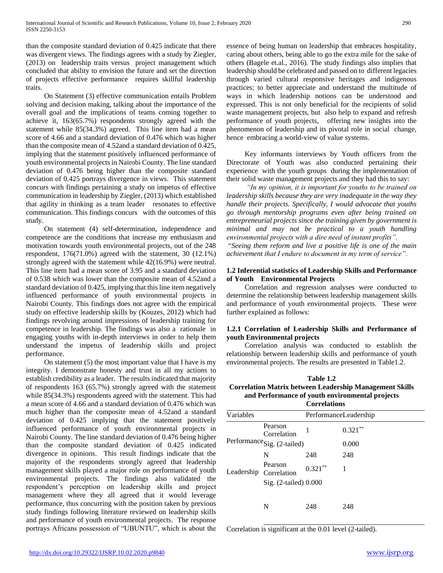than the composite standard deviation of 0.425 indicate that there was divergent views. The findings agrees with a study by Ziegler, (2013) on leadership traits versus project management which concluded that ability to envision the future and set the direction of projects effective performance requires skillful leadership traits.

 On Statement (3) effective communication entails Problem solving and decision making, talking about the importance of the overall goal and the implications of teams coming together to achieve it, 163(65.7%) respondents strongly agreed with the statement while 85(34.3%) agreed. This line item had a mean score of 4.66 and a standard deviation of 0.476 which was higher than the composite mean of 4.52and a standard deviation of 0.425, implying that the statement positively influenced performance of youth environmental projects in Nairobi County. The line standard deviation of 0.476 being higher than the composite standard deviation of 0.425 portrays divergence in views. This statement concurs with findings pertaining a study on impetus of effective communication in leadership by Ziegler, (2013) which established that agility in thinking as a team leader resonates to effective communication. This findings concurs with the outcomes of this study.

 On statement (4) self-determination, independence and competence are the conditions that increase my enthusiasm and motivation towards youth environmental projects, out of the 248 respondent, 176(71.0%) agreed with the statement, 30 (12.1%) strongly agreed with the statement while 42(16.9%) were neutral. This line item had a mean score of 3.95 and a standard deviation of 0.538 which was lower than the composite mean of 4.52and a standard deviation of 0.425, implying that this line item negatively influenced performance of youth environmental projects in Nairobi County. This findings does not agree with the empirical study on effective leadership skills by (Kouzes, 2012) which had findings revolving around impressions of leadership training for competence in leadership. The findings was also a rationale in engaging youths with in-depth interviews in order to help them understand the impetus of leadership skills and project performance.

 On statement (5) the most important value that I have is my integrity. I demonstrate honesty and trust in all my actions to establish credibility as a leader. The results indicated that majority of respondents 163 (65.7%) strongly agreed with the statement while 85(34.3%) respondents agreed with the statement. This had a mean score of 4.66 and a standard deviation of 0.476 which was much higher than the composite mean of 4.52and a standard deviation of 0.425 implying that the statement positively influenced performance of youth environmental projects in Nairobi County. The line standard deviation of 0.476 being higher than the composite standard deviation of 0.425 indicated divergence in opinions. This result findings indicate that the majority of the respondents strongly agreed that leadership management skills played a major role on performance of youth environmental projects. The findings also validated the respondent's perception on leadership skills and project management where they all agreed that it would leverage performance, thus concurring with the position taken by previous study findings following literature reviewed on leadership skills and performance of youth environmental projects. The response portrays Africans possession of "UBUNTU", which is about the essence of being human on leadership that embraces hospitality, caring about others, being able to go the extra mile for the sake of others (Bagele et.al., 2016). The study findings also implies that leadership should be celebrated and passed on to different legacies through varied cultural responsive heritages and indigenous practices; to better appreciate and understand the multitude of ways in which leadership notions can be understood and expressed. This is not only beneficial for the recipients of solid waste management projects, but also help to expand and refresh performance of youth projects, offering new insights into the phenomenon of leadership and its pivotal role in social change, hence embracing a world-view of value systems.

 Key informants interviews by Youth officers from the Directorate of Youth was also conducted pertaining their experience with the youth groups during the implementation of their solid waste management projects and they had this to say:

 *"In my opinion, it is important for youths to be trained on leadership skills because they are very inadequate in the way they handle their projects. Specifically, I would advocate that youths go through mentorship programs even after being trained on entrepreneurial projects since the training given by government is minimal and may not be practical to a youth handling environmental projects with a dire need of instant profits".* 

"*Seeing them reform and live a positive life is one of the main achievement that I endure to document in my term of service".* 

### **1.2 Inferential statistics of Leadership Skills and Performance of Youth Environmental Projects**

 Correlation and regression analyses were conducted to determine the relationship between leadership management skills and performance of youth environmental projects. These were further explained as follows:

#### **1.2.1 Correlation of Leadership Skills and Performance of youth Environmental projects**

 Correlation analysis was conducted to establish the relationship between leadership skills and performance of youth environmental projects. The results are presented in Table1.2.

| Table 1.2                                                      |
|----------------------------------------------------------------|
| <b>Correlation Matrix between Leadership Management Skills</b> |
| and Performance of youth environmental projects                |
|                                                                |

|           |                                        | <b>Correlations</b>   |            |  |  |
|-----------|----------------------------------------|-----------------------|------------|--|--|
| Variables |                                        | PerformanceLeadership |            |  |  |
|           | Pearson<br>Correlation                 | 1                     | $0.321***$ |  |  |
|           | Performance <sub>Sig. (2-tailed)</sub> |                       | 0.000      |  |  |
|           | N                                      | 248                   | 248        |  |  |
|           | Pearson<br>Leadership Correlation      | $0.321***$            |            |  |  |
|           | Sig. $(2$ -tailed $)$ 0.000            |                       |            |  |  |
|           | N                                      | 248                   | 248        |  |  |

Correlation is significant at the 0.01 level (2-tailed).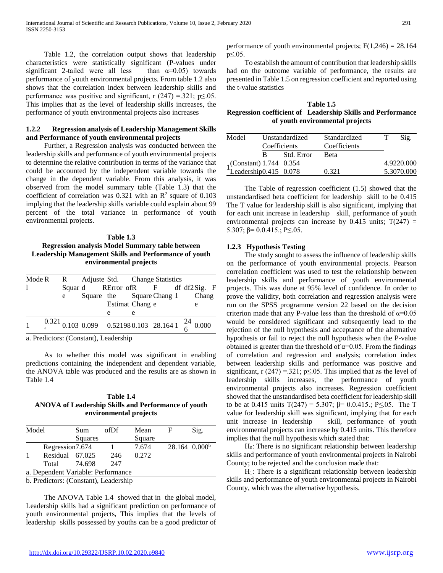Table 1.2, the correlation output shows that leadership characteristics were statistically significant (P-values under significant 2-tailed were all less than  $\alpha=0.05$ ) towards performance of youth environmental projects. From table 1.2 also shows that the correlation index between leadership skills and performance was positive and significant, r  $(247) = 321$ ; p $\leq 0.05$ . This implies that as the level of leadership skills increases, the performance of youth environmental projects also increases

# **1.2.2 Regression analysis of Leadership Management Skills and Performance of youth environmental projects**

 Further, a Regression analysis was conducted between the leadership skills and performance of youth environmental projects to determine the relative contribution in terms of the variance that could be accounted by the independent variable towards the change in the dependent variable. From this analysis, it was observed from the model summary table (Table 1.3) that the coefficient of correlation was 0.321 with an  $\mathbb{R}^2$  square of 0.103 implying that the leadership skills variable could explain about 99 percent of the total variance in performance of youth environmental projects.

# **Table 1.3 Regression analysis Model Summary table between Leadership Management Skills and Performance of youth environmental projects**

| Mode R R Adjuste Std. Change Statistics |  |   |                 |  |                                                                          |  |
|-----------------------------------------|--|---|-----------------|--|--------------------------------------------------------------------------|--|
| 1                                       |  |   |                 |  | Squar d RError of R F df df2 Sig. F                                      |  |
|                                         |  |   |                 |  | e Square the Square Chang 1 Chang                                        |  |
|                                         |  |   | Estimat Chang e |  | e                                                                        |  |
|                                         |  | e | e               |  |                                                                          |  |
| $\mathbf{1}$                            |  |   |                 |  | $\frac{0.321}{a}$ 0.103 0.099 0.521980.103 28.164 1 $\frac{24}{6}$ 0.000 |  |
|                                         |  |   |                 |  |                                                                          |  |

a. Predictors: (Constant), Leadership

 As to whether this model was significant in enabling predictions containing the independent and dependent variable, the ANOVA table was produced and the results are as shown in Table 1.4

**Table 1.4 ANOVA of Leadership Skills and Performance of youth environmental projects**

| $28.164 \cdot 0.000^b$ |  |
|------------------------|--|
|                        |  |
|                        |  |
|                        |  |
|                        |  |
|                        |  |

b. Predictors: (Constant), Leadership

 The ANOVA Table 1.4 showed that in the global model, Leadership skills had a significant prediction on performance of youth environmental projects, This implies that the levels of leadership skills possessed by youths can be a good predictor of performance of youth environmental projects;  $F(1,246) = 28.164$ p≤.05.

 To establish the amount of contribution that leadership skills had on the outcome variable of performance, the results are presented in Table 1.5 on regression coefficient and reported using the t-value statistics

### **Table 1.5 Regression coefficient of Leadership Skills and Performance of youth environmental projects**

| Model<br>Coefficients                            |    | Unstandardized | Standardized<br>Coefficients | Sig.       |
|--------------------------------------------------|----|----------------|------------------------------|------------|
|                                                  | R. | Std. Error     | <b>Beta</b>                  |            |
|                                                  |    |                |                              | 4.9220.000 |
| 1(Constant) 1.744 0.354<br>Leadership0.415 0.078 |    |                | 0.321                        | 5.3070.000 |

 The Table of regression coefficient (1.5) showed that the unstandardised beta coefficient for leadership skill to be 0.415 The T value for leadership skill is also significant, implying that for each unit increase in leadership skill, performance of youth environmental projects can increase by  $0.415$  units;  $T(247)$  = 5.307;  $\beta$ = 0.0.415.; P $\leq$ .05.

# **1.2.3 Hypothesis Testing**

 The study sought to assess the influence of leadership skills on the performance of youth environmental projects. Pearson correlation coefficient was used to test the relationship between leadership skills and performance of youth environmental projects. This was done at 95% level of confidence. In order to prove the validity, both correlation and regression analysis were run on the SPSS programme version 22 based on the decision criterion made that any P-value less than the threshold of  $\alpha$ =0.05 would be considered significant and subsequently lead to the rejection of the null hypothesis and acceptance of the alternative hypothesis or fail to reject the null hypothesis when the P-value obtained is greater than the threshold of  $\alpha$ =0.05. From the findings of correlation and regression and analysis; correlation index between leadership skills and performance was positive and significant, r (247) = 321; p $\leq$  05. This implied that as the level of leadership skills increases, the performance of youth environmental projects also increases. Regression coefficient showed that the unstandardised beta coefficient for leadership skill to be at 0.415 units  $T(247) = 5.307$ ;  $β= 0.0.415$ .; P $\leq$ .05. The T value for leadership skill was significant, implying that for each unit increase in leadership skill, performance of youth environmental projects can increase by 0.415 units. This therefore implies that the null hypothesis which stated that:

 $H<sub>0</sub>$ : There is no significant relationship between leadership skills and performance of youth environmental projects in Nairobi County; to be rejected and the conclusion made that:

 $H<sub>1</sub>$ : There is a significant relationship between leadership skills and performance of youth environmental projects in Nairobi County, which was the alternative hypothesis.